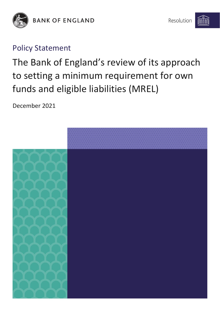

**BANK OF ENGLAND** 

## Policy Statement

The Bank of England's review of its approach to setting a minimum requirement for own funds and eligible liabilities (MREL)

December 2021

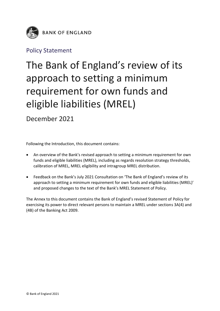

## Policy Statement

## The Bank of England's review of its approach to setting a minimum requirement for own funds and eligible liabilities (MREL)

December 2021

Following the Introduction, this document contains:

- An overview of the Bank's revised approach to setting a minimum requirement for own funds and eligible liabilities (MREL), including as regards resolution strategy thresholds, calibration of MREL, MREL eligibility and intragroup MREL distribution.
- Feedback on the Bank's July 2021 Consultation on 'The Bank of England's review of its approach to setting a minimum requirement for own funds and eligible liabilities (MREL)' and proposed changes to the text of the Bank's MREL Statement of Policy.

The Annex to this document contains the Bank of England's revised Statement of Policy for exercising its power to direct relevant persons to maintain a MREL under sections 3A(4) and (4B) of the Banking Act 2009.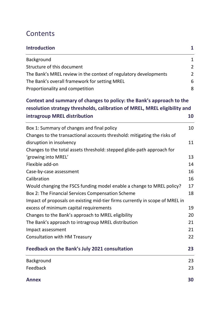## **Contents**

| <b>Introduction</b>                                                          | $\mathbf{1}$   |
|------------------------------------------------------------------------------|----------------|
| Background                                                                   | $\mathbf{1}$   |
| Structure of this document                                                   | $\overline{2}$ |
| The Bank's MREL review in the context of regulatory developments             | $\overline{2}$ |
| The Bank's overall framework for setting MREL                                | 6              |
| Proportionality and competition                                              | 8              |
| Context and summary of changes to policy: the Bank's approach to the         |                |
| resolution strategy thresholds, calibration of MREL, MREL eligibility and    |                |
| intragroup MREL distribution                                                 | 10             |
| Box 1: Summary of changes and final policy                                   | 10             |
| Changes to the transactional accounts threshold: mitigating the risks of     |                |
| disruption in insolvency                                                     | 11             |
| Changes to the total assets threshold: stepped glide-path approach for       |                |
| 'growing into MREL'                                                          | 13             |
| Flexible add-on                                                              | 14             |
| Case-by-case assessment                                                      | 16             |
| Calibration                                                                  | 16             |
| Would changing the FSCS funding model enable a change to MREL policy?        | 17             |
| Box 2: The Financial Services Compensation Scheme                            | 18             |
| Impact of proposals on existing mid-tier firms currently in scope of MREL in |                |
| excess of minimum capital requirements                                       | 19             |
| Changes to the Bank's approach to MREL eligibility                           | 20             |
| The Bank's approach to intragroup MREL distribution                          | 21             |
| Impact assessment                                                            | 21             |
| <b>Consultation with HM Treasury</b>                                         | 22             |
| <b>Feedback on the Bank's July 2021 consultation</b>                         | 23             |
| Background                                                                   | 23             |
| Feedback                                                                     | 23             |

**[Annex](#page-32-0) 30**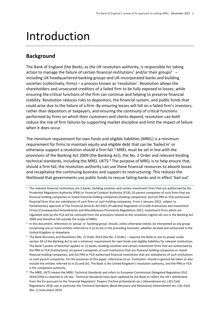## <span id="page-3-0"></span>Introduction

### <span id="page-3-1"></span>**Background**

The Bank of England (the Bank), as the UK resolution authority, is responsible for taking action to manage the failure of certain financial institutions<sup>1</sup> and/or their groups<sup>2</sup>  $$ including UK-headquartered banking groups and UK-incorporated banks and building societies (collectively, firms) – a process known as 'resolution'. Resolution allows the shareholders and unsecured creditors of a failed firm to be fully exposed to losses, while ensuring the critical functions of the firm can continue and helping to preserve financial stability. Resolution reduces risks to depositors, the financial system, and public funds that could arise due to the failure of a firm. By ensuring losses will fall on a failed firm's investors, rather than depositors or taxpayers, and ensuring the continuity of critical functions performed by firms on which their customers and clients depend, resolution can both reduce the risk of firm failures by supporting market discipline and limit the impact of failure when it does occur.

The minimum requirement for own funds and eligible liabilities (MREL) is a minimum requirement for firms to maintain equity and eligible debt that can be 'bailed in' or otherwise support a resolution should a firm fail. <sup>3</sup> MREL must be set in line with the provisions of the Banking Act 2009 (the Banking Act), the No. 2 Order and relevant binding technical standards, including the MREL UKTS.<sup>4</sup> The purpose of MREL is to help ensure that, should a firm fail, the resolution authority can use these financial resources to absorb losses and recapitalise the continuing business and support its restructuring. This reduces the likelihood that governments use public funds to rescue failing banks and in effect 'bail out'

- $1$  The relevant financial institutions are i) banks, building societies and certain investment firms that are authorised by the Prudential Regulation Authority (PRA) or Financial Conduct Authority (FCA); (ii) parent companies of such firms that are financial holding companies or mixed financial holding companies (holding companies); and (iii) PRA or FCA-authorised financial firms that are subsidiaries of such firms or such holding companies. From 1 January 2022, subject to Parliamentary approval of The Financial Services Act 2021 (Prudential Regulation of Credit Institutions and Investment Firms) (Consequential Amendments and Miscellaneous Provisions) Regulations 2021, investment firms which are regulated only by the FCA will be removed from the provisions related to the resolution regime set out in the Banking Act 2009 and therefore fall outside the scope of MREL.
- 2 In this document, references to 'group' or 'banking group' should, unless otherwise stated, be interpreted as any group comprising one or more entities referred to in (i) to (iii) in the preceding footnote, whether located and authorised in the United Kingdom or elsewhere.
- <sup>3</sup> The Bank Recovery and Resolution (No. 2) Order 2014 (the No. 2 Order) requires the Bank to use its power under section 3A of the Banking Act to set a minimum requirement for own funds and eligible liabilities for relevant institutions. The Bank's power of direction applies to: (i) banks, building societies and certain investment firms that are authorised by the PRA or FCA (institutions); (ii) parent companies of such institutions that are financial holding companies or mixed financial holding companies; and (iii) PRA or FCA-authorised financial institutions that are subsidiaries of such institutions or such parent companies. For the purposes of this paper, references to an 'institution' should in general be taken to also include the entities referred to in (ii) and (iii). The Bank is the United Kingdom's resolution authority, and the PRA or FCA is the competent authority.
- <sup>4</sup> The MREL UKTS means the MREL Technical Standards and refers to European Commission Delegated Regulation (EU) 2016/1450 as retained in UK law. Technical Standards have been updated by the Bank to reflect the UK's withdrawal from the EU pursuant to the Financial Regulators' Powers (Technical Standards etc.) (Amendment etc.) (EU Exit) Regulations 2018, see in particular the Technical Standards (Bank Recovery and Resolution) (Amendment etc.) (EU Exit) (No. 1) Instrument 2019.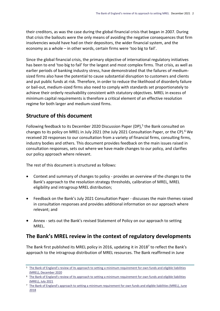their creditors, as was the case during the global financial crisis that began in 2007. During that crisis the bailouts were the only means of avoiding the negative consequences that firm insolvencies would have had on their depositors, the wider financial system, and the economy as a whole – in other words, certain firms were 'too big to fail'.

Since the global financial crisis, the primary objective of international regulatory initiatives has been to end 'too big to fail' for the largest and most complex firms. That crisis, as well as earlier periods of banking industry stress, have demonstrated that the failures of mediumsized firms also have the potential to cause substantial disruption to customers and clients and put public funds at risk. Therefore, in order to reduce the likelihood of disorderly failure or bail-out, medium-sized firms also need to comply with standards set proportionately to achieve their orderly resolvability consistent with statutory objectives. MREL in excess of minimum capital requirements is therefore a critical element of an effective resolution regime for both larger and medium-sized firms.

## <span id="page-4-0"></span>**Structure of this document**

Following feedback to its December 2020 Discussion Paper (DP),<sup>5</sup> the Bank consulted on changes to its policy on MREL in July 2021 (the July 2021 Consultation Paper, or the CP).<sup>6</sup> We received 20 responses to our consultation from a variety of financial firms, consulting firms, industry bodies and others. This document provides feedback on the main issues raised in consultation responses, sets out where we have made changes to our policy, and clarifies our policy approach where relevant.

The rest of this document is structured as follows:

- Context and summary of changes to policy provides an overview of the changes to the Bank's approach to the resolution strategy thresholds, calibration of MREL, MREL eligibility and intragroup MREL distribution;
- Feedback on the Bank's July 2021 Consultation Paper discusses the main themes raised in consultation responses and provides additional information on our approach where relevant; and
- Annex sets out the Bank's revised Statement of Policy on our approach to setting MREL.

## <span id="page-4-1"></span>**The Bank's MREL review in the context of regulatory developments**

The Bank first published its MREL policy in 2016, updating it in 2018<sup>7</sup> to reflect the Bank's approach to the intragroup distribution of MREL resources. The Bank reaffirmed in June

<sup>&</sup>lt;sup>5</sup> [The Bank of England's review of its approach to setting a minimum requirement for own funds and eligible l](https://www.bankofengland.co.uk/-/media/boe/files/paper/2020/boes-review-of-its-approach-to-setting-mrel.pdf?la=en&hash=E91E4A0380DE04A1EA5F1AB678EE8006041A344D)iabilities [\(MREL\), December 2020](https://www.bankofengland.co.uk/-/media/boe/files/paper/2020/boes-review-of-its-approach-to-setting-mrel.pdf?la=en&hash=E91E4A0380DE04A1EA5F1AB678EE8006041A344D)

<sup>6</sup> [The Bank of England's review of its approach to setting a minimum requirement for own funds and eligible liabilities](https://www.bankofengland.co.uk/paper/2021/boes-review-of-its-approach-to-setting-mrel-consultation-paper-july-2021)  [\(MREL\), July 2021](https://www.bankofengland.co.uk/paper/2021/boes-review-of-its-approach-to-setting-mrel-consultation-paper-july-2021)

<sup>7</sup> [The Bank of England's approach to setting a minimum requirement for own funds and eligible liabilities \(MREL\), J](https://www.bankofengland.co.uk/paper/2018/boes-approach-to-setting-mrel-2018)une [2018](https://www.bankofengland.co.uk/paper/2018/boes-approach-to-setting-mrel-2018)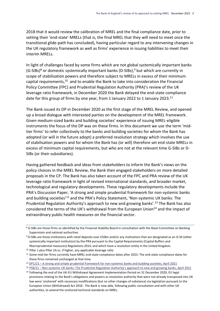2018 that it would review the calibration of MREL and the final compliance date, prior to setting their 'end-state' MRELs (that is, the final MREL that they will need to meet once the transitional glide-path has concluded), having particular regard to any intervening changes in the UK regulatory framework as well as firms' experience in issuing liabilities to meet their interim MRELs.

In light of challenges faced by some firms which are not global systemically important banks (G-SIBs)<sup>8</sup> or domestic systemically important banks (D-SIBs),<sup>9</sup> but which are currently in scope of stabilisation powers and therefore subject to MRELs in excess of their minimum capital requirements, $^{10}$  and to enable the Bank to take into consideration the Financial Policy Committee (FPC) and Prudential Regulation Authority (PRA)'s review of the UK leverage ratio framework, in December 2020 the Bank delayed the end-state compliance date for this group of firms by one year, from 1 January 2022 to 1 January 2023.<sup>11</sup>

The Bank issued its DP in December 2020 as the first stage of the MREL Review, and opened up a broad dialogue with interested parties on the development of the MREL framework. Given medium-sized banks and building societies' experience of issuing MREL-eligible instruments the focus of the DP was on these firms. In this document we use the term 'midtier firms' to refer collectively to the banks and building societies for whom the Bank has adopted (or will in the future adopt) a preferred resolution strategy which involves the use of stabilisation powers and for whom the Bank has (or will) therefore set end-state MRELs in excess of minimum capital requirements, but who are not at the relevant time G-SIBs or D-SIBs (or their subsidiaries).

Having gathered feedback and ideas from stakeholders to inform the Bank's views on the policy choices in the MREL Review, the Bank then engaged stakeholders on more detailed proposals in the CP. The Bank has also taken account of the FPC and PRA review of the UK leverage ratio framework in light of revised international standards, and broader market, technological and regulatory developments. These regulatory developments include the PRA's Discussion Paper, 'A strong and simple prudential framework for non-systemic banks and building societies<sup>'12</sup> and the PRA's Policy Statement, 'Non-systemic UK banks: The Prudential Regulation Authority's approach to new and growing banks'.<sup>13</sup> The Bank has also considered the terms of the UK's withdrawal from the European Union<sup>14</sup> and the impact of extraordinary public health measures on the financial sector.

<sup>8</sup> G-SIBs are those firms so identified by the Financial Stability Board in consultation with the Basel Committee on Banking Supervision and national authorities.

<sup>9</sup> D-SIBs are those institutions with retail deposits over £50bn and/or any institutions that are designated as an O-SII (other systemically important institution) by the PRA pursuant to the Capital Requirements (Capital Buffers and Macroprudential measures) Regulations 2014, and which have a resolution entity in the United Kingdom.

<sup>10</sup> Pillar 1 plus Pillar 2A or, if higher, any applicable leverage ratio

<sup>11</sup> Some mid-tier firms currently have MREL end-state compliance dates after 2023. The end-state compliance dates for these firms remained unchanged at that time.

<sup>12</sup> DP1/21 – [A strong and simple prudential framework for non-systemic banks and building societies, April 2021](https://www.bankofengland.co.uk/-/media/boe/files/prudential-regulation/discussion-paper/2021/dp121.pdf?la=en&hash=BAF03DB89BF248EE72D75096249C796B84916CFF)

<sup>13</sup> PS8/21 – Non-[systemic UK banks: The Prudential Regulation Authority's approach to new and growing banks](https://www.bankofengland.co.uk/prudential-regulation/publication/2020/new-and-growing-banks), April 2021

<sup>14</sup> Following the end of the UK-EU Withdrawal Agreement Implementation Period on 31 December 2020, EU legal provisions relating to the Bank's obligations and powers as resolution authority that were not already transposed into UK law were 'onshored' with necessary modifications (but no other changes of substance) via legislation pursuant to the European Union (Withdrawal) Act 2018 . The Bank is now able, following public consultation and with other UK authorities, to amend the onshored technical standards on MREL.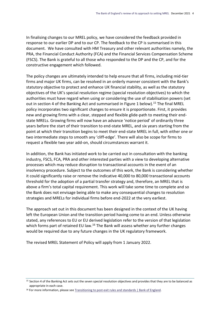In finalising changes to our MREL policy, we have considered the feedback provided in response to our earlier DP and to our CP. The feedback to the CP is summarised in this document. We have consulted with HM Treasury and other relevant authorities namely, the PRA, the Financial Conduct Authority (FCA) and the Financial Services Compensation Scheme (FSCS). The Bank is grateful to all those who responded to the DP and the CP, and for the constructive engagement which followed.

The policy changes are ultimately intended to help ensure that all firms, including mid-tier firms and major UK firms, can be resolved in an orderly manner consistent with the Bank's statutory objective to protect and enhance UK financial stability, as well as the statutory objectives of the UK's special resolution regime (special resolution objectives) to which the authorities must have regard when using or considering the use of stabilisation powers (set out in section 4 of the Banking Act and summarised in Figure 1 below).<sup>15</sup> The final MREL policy incorporates two significant changes to ensure it is proportionate. First, it provides new and growing firms with a clear, stepped and flexible glide-path to meeting their endstate MRELs. Growing firms will now have an advance 'notice period' of ordinarily three years before the start of their transition to end-state MREL, and six years starting from the point at which their transition begins to meet their end-state MREL in full, with either one or two intermediate steps to smooth any 'cliff-edge'. There will also be scope for firms to request a flexible two year add-on, should circumstances warrant it.

In addition, the Bank has initiated work to be carried out in consultation with the banking industry, FSCS, FCA, PRA and other interested parties with a view to developing alternative processes which may reduce disruption to transactional accounts in the event of an insolvency procedure. Subject to the outcomes of this work, the Bank is considering whether it could significantly raise or remove the indicative 40,000 to 80,000 transactional accounts threshold for the adoption of a partial transfer strategy and, therefore, an MREL that is above a firm's total capital requirement. This work will take some time to complete and so the Bank does not envisage being able to make any consequential changes to resolution strategies and MRELs for individual firms before end-2022 at the very earliest.

The approach set out in this document has been designed in the context of the UK having left the European Union and the transition period having come to an end. Unless otherwise stated, any references to EU or EU derived legislation refer to the version of that legislation which forms part of retained EU law.<sup>16</sup> The Bank will assess whether any further changes would be required due to any future changes in the UK regulatory framework.

The revised MREL Statement of Policy will apply from 1 January 2022.

<sup>15</sup> Section 4 of the Banking Act sets out the seven special resolution objectives and provides that they are to be balanced as appropriate in each case.

<sup>16</sup> For more information, please se[e Transitioning to post-exit rules and standards | Bank of England.](https://www.bankofengland.co.uk/eu-withdrawal/transitioning-to-post-exit-rules-and-standards)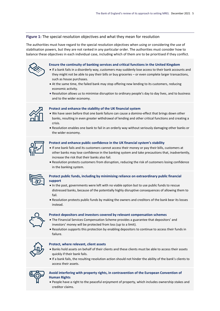#### **Figure 1:** The special resolution objectives and what they mean for resolution

The authorities must have regard to the special resolution objectives when using or considering the use of stabilisation powers, but they are not ranked in any particular order. The authorities must consider how to balance these objectives in each individual case, including which of them are to be prioritised if they conflict.

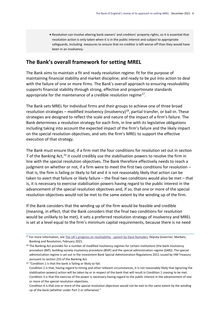Resolution can involve altering bank owners' and creditors' property rights, so it is essential that resolution action is only taken when it is in the public interest and subject to appropriate safeguards, including measures to ensure that no creditor is left worse off than they would have been in an insolvency.

### <span id="page-8-0"></span>**The Bank's overall framework for setting MREL**

The Bank aims to maintain a fit and ready resolution regime: fit for the purpose of maintaining financial stability and market discipline; and ready to be put into action to deal with the failure of one or more firms. The Bank's overall approach to ensuring resolvability supports financial stability through strong, effective and proportionate standards appropriate for the maintenance of a credible resolution regime<sup>17</sup>.

The Bank sets MREL for individual firms and their groups to achieve one of three broad resolution strategies – modified insolvency (insolvency)<sup>18</sup>, partial transfer, or bail-in. These strategies are designed to reflect the scale and nature of the impact of a firm's failure. The Bank determines a resolution strategy for each firm, in line with its legislative obligations including taking into account the expected impact of the firm's failure and the likely impact on the special resolution objectives, and sets the firm's MREL to support the effective execution of that strategy.

The Bank must ensure that, if a firm met the four conditions for resolution set out in section 7 of the Banking Act,<sup>19</sup> it could credibly use the stabilisation powers to resolve the firm in line with the special resolution objectives. The Bank therefore effectively needs to reach a judgment on whether or not, if a firm were to meet the first two conditions for resolution – that is, the firm is failing or likely to fail and it is not reasonably likely that action can be taken to avert that failure or likely failure – the final two conditions would also be met – that is, it is necessary to exercise stabilisation powers having regard to the public interest in the advancement of the special resolution objectives and, if so, that one or more of the special resolution objectives would not be met to the same extent by the winding up of the firm.

If the Bank considers that the winding up of the firm would be feasible and credible (meaning, in effect, that the Bank considers that the final two conditions for resolution would be unlikely to be met), it sets a preferred resolution strategy of insolvency and MREL is set at a level equal to the firm's minimum capital requirements, because there is no need

<sup>19</sup> "Condition 1 is that the bank is failing or likely to fail.

<sup>&</sup>lt;sup>17</sup> For more information, see [The UK's progress on resolvability](https://www.bankofengland.co.uk/speech/2021/february/dave-ramsden-institute-of-chartered-accountants-in-england-wales) - speech by Dave Ramsden, Deputy Governor, Markets, Banking and Resolution, February 2021.

<sup>18</sup> The Banking Act provides for a number of modified insolvency regimes for certain institutions (the bank insolvency procedure (BIP), building society insolvency procedure (BSIP) and the special administration regime (SAR)). The special administration regime is set out in the Investment Bank Special Administration Regulations 2011 issued by HM Treasury pursuant to section 233 of the Banking Act.

Condition 2 is that, having regard to timing and other relevant circumstances, it is not reasonably likely that (ignoring the stabilisation powers) action will be taken by or in respect of the bank that will result in Condition 1 ceasing to be met. Condition 3 is that the exercise of the power is necessary having regard to the public interest in the advancement of one or more of the special resolution objectives.

Condition 4 is that one or more of the special resolution objectives would not be met to the same extent by the winding up of the bank (whether under Part 2 or otherwise)."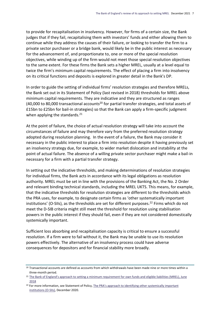to provide for recapitalisation in insolvency. However, for firms of a certain size, the Bank judges that if they fail, recapitalising them with investors' funds and either allowing them to continue while they address the causes of their failure, or looking to transfer the firm to a private sector purchaser or a bridge bank, would likely be in the public interest as necessary for the advancement of, and proportionate to, one or more of the special resolution objectives, while winding up of the firm would not meet those special resolution objectives to the same extent. For these firms the Bank sets a higher MREL, usually at a level equal to twice the firm's minimum capital requirements. The effect of placing a firm into insolvency on its critical functions and deposits is explored in greater detail in the Bank's DP.

In order to guide the setting of individual firms' resolution strategies and therefore MRELs, the Bank set out in its Statement of Policy (last revised in 2018) thresholds for MREL above minimum capital requirements. They are indicative and they are structured as ranges (40,000 to 80,000 transactional accounts<sup>20</sup> for partial transfer strategies, and total assets of £15bn to £25bn for bail-in strategies) so that the Bank can apply a firm-specific judgment when applying the standards. $21$ 

At the point of failure, the choice of actual resolution strategy will take into account the circumstances of failure and may therefore vary from the preferred resolution strategy adopted during resolution planning. In the event of a failure, the Bank may consider it necessary in the public interest to place a firm into resolution despite it having previously set an insolvency strategy due, for example, to wider market dislocation and instability at the point of actual failure. The absence of a willing private sector purchaser might make a bail-in necessary for a firm with a partial transfer strategy.

In setting out the indicative thresholds, and making determinations of resolution strategies for individual firms, the Bank acts in accordance with its legal obligations as resolution authority. MREL must be set in line with the provisions of the Banking Act, the No. 2 Order and relevant binding technical standards, including the MREL UKTS. This means, for example, that the indicative thresholds for resolution strategies are different to the thresholds which the PRA uses, for example, to designate certain firms as 'other systematically important institutions' (O-SIIs), as the thresholds are set for different purposes.<sup>22</sup> Firms which do not meet the D-SIB criteria might still meet the threshold for resolution using stabilisation powers in the public interest if they should fail, even if they are not considered domestically systemically important.

Sufficient loss absorbing and recapitalisation capacity is critical to ensure a successful resolution. If a firm were to fail without it, the Bank may be unable to use its resolution powers effectively. The alternative of an insolvency process could have adverse consequences for depositors and for financial stability more broadly.

<sup>&</sup>lt;sup>20</sup> Transactional accounts are defined as accounts from which withdrawals have been made nine or more times within a three-month period.

<sup>&</sup>lt;sup>21</sup> [The Bank of England's approach to setting a minimum requirement for own funds and eligible liabilities \(MR](https://www.bankofengland.co.uk/-/media/boe/files/paper/2018/statement-of-policy-boes-approach-to-setting-mrel-2018.pdf?la=en&hash=BC4499AF9CF063A3D8024BE5C050CB1F39E2EBC1)EL), June [2018](https://www.bankofengland.co.uk/-/media/boe/files/paper/2018/statement-of-policy-boes-approach-to-setting-mrel-2018.pdf?la=en&hash=BC4499AF9CF063A3D8024BE5C050CB1F39E2EBC1)

<sup>&</sup>lt;sup>22</sup> For more information, see Statement of Policy, The PRA's approach to identifying other systemically important [institutions \(O-SIIs\),](https://www.bankofengland.co.uk/prudential-regulation/publication/2016/the-pras-approach-to-identifying-other-systemically-important-institutions-o-siis-sop) December 2020.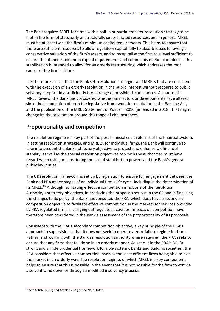The Bank requires MREL for firms with a bail-in or partial transfer resolution strategy to be met in the form of statutorily or structurally subordinated resources, and in general MREL must be at least twice the firm's minimum capital requirements. This helps to ensure that there are sufficient resources to allow regulatory capital fully to absorb losses following a conservative valuation of the firm's assets, and to recapitalise the firm to a level sufficient to ensure that it meets minimum capital requirements and commands market confidence. This stabilisation is intended to allow for an orderly restructuring which addresses the root causes of the firm's failure.

It is therefore critical that the Bank sets resolution strategies and MRELs that are consistent with the execution of an orderly resolution in the public interest without recourse to public solvency support, in a sufficiently broad range of possible circumstances. As part of the MREL Review, the Bank has considered whether any factors or developments have altered since the introduction of both the legislative framework for resolution in the Banking Act, and the publication of the MREL Statement of Policy in 2016 (amended in 2018), that might change its risk assessment around this range of circumstances.

## <span id="page-10-0"></span>**Proportionality and competition**

The resolution regime is a key part of the post financial crisis reforms of the financial system. In setting resolution strategies, and MRELs, for individual firms, the Bank will continue to take into account the Bank's statutory objective to protect and enhance UK financial stability, as well as the special resolution objectives to which the authorities must have regard when using or considering the use of stabilisation powers and the Bank's general public law duties.

The UK resolution framework is set up by legislation to ensure full engagement between the Bank and PRA at key stages of an individual firm's life cycle, including in the determination of its MREL.<sup>23</sup> Although facilitating effective competition is not one of the Resolution Authority's statutory objectives, in producing the proposals set out in the CP and in finalising the changes to its policy, the Bank has consulted the PRA, which does have a secondary competition objective to facilitate effective competition in the markets for services provided by PRA regulated firms in carrying out regulated activities. Impacts on competition have therefore been considered in the Bank's assessment of the proportionality of its proposals.

Consistent with the PRA's secondary competition objective, a key principle of the PRA's approach to supervision is that it does not seek to operate a zero-failure regime for firms. Rather, and working with the Bank as resolution authority where required, the PRA seeks to ensure that any firms that fail do so in an orderly manner. As set out in the PRA's DP, 'A strong and simple prudential framework for non-systemic banks and building societies', the PRA considers that effective competition involves the least efficient firms being able to exit the market in an orderly way. The resolution regime, of which MREL is a key component, helps to ensure that this is possible in the event that it is not possible for the firm to exit via a solvent wind down or through a modified insolvency process.

<sup>23</sup> See Article 123(7) and Article 126(9) of the No.2 Order.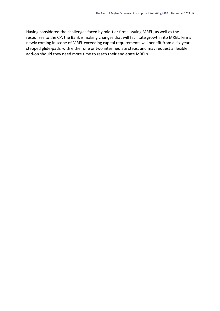Having considered the challenges faced by mid-tier firms issuing MREL, as well as the responses to the CP, the Bank is making changes that will facilitate growth into MREL. Firms newly coming in scope of MREL exceeding capital requirements will benefit from a six-year stepped glide-path, with either one or two intermediate steps, and may request a flexible add-on should they need more time to reach their end-state MRELs.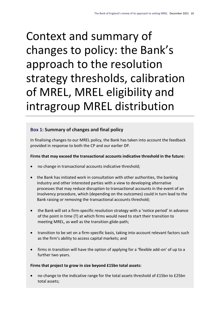# <span id="page-12-0"></span>Context and summary of changes to policy: the Bank's approach to the resolution strategy thresholds, calibration of MREL, MREL eligibility and intragroup MREL distribution

## <span id="page-12-1"></span>**Box 1: Summary of changes and final policy**

In finalising changes to our MREL policy, the Bank has taken into account the feedback provided in response to both the CP and our earlier DP.

#### **Firms that may exceed the transactional accounts indicative threshold in the future:**

- no change in transactional accounts indicative threshold;
- the Bank has initiated work in consultation with other authorities, the banking industry and other interested parties with a view to developing alternative processes that may reduce disruption to transactional accounts in the event of an insolvency procedure, which (depending on the outcomes) could in turn lead to the Bank raising or removing the transactional accounts threshold;
- the Bank will set a firm-specific resolution strategy with a 'notice period' in advance of the point in time (T) at which firms would need to start their transition to meeting MREL, as well as the transition glide-path;
- transition to be set on a firm-specific basis, taking into account relevant factors such as the firm's ability to access capital markets; and
- firms in transition will have the option of applying for a 'flexible add-on' of up to a further two years.

#### **Firms that project to grow in size beyond £15bn total assets:**

 no change to the indicative range for the total assets threshold of £15bn to £25bn total assets;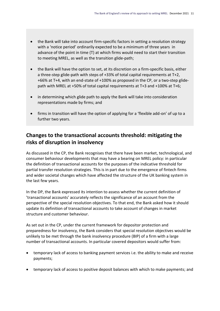- the Bank will take into account firm-specific factors in setting a resolution strategy with a 'notice period' ordinarily expected to be a minimum of three years in advance of the point in time (T) at which firms would need to start their transition to meeting MREL, as well as the transition glide-path;
- the Bank will have the option to set, at its discretion on a firm-specific basis, either a three-step glide-path with steps of +33% of total capital requirements at T+2, +66% at T+4, with an end-state of +100% as proposed in the CP, or a two-step glidepath with MREL at +50% of total capital requirements at T+3 and +100% at T+6;
- in determining which glide path to apply the Bank will take into consideration representations made by firms; and
- firms in transition will have the option of applying for a 'flexible add-on' of up to a further two years.

## <span id="page-13-0"></span>**Changes to the transactional accounts threshold: mitigating the risks of disruption in insolvency**

As discussed in the CP, the Bank recognises that there have been market, technological, and consumer behaviour developments that may have a bearing on MREL policy: in particular the definition of transactional accounts for the purposes of the indicative threshold for partial transfer resolution strategies. This is in part due to the emergence of fintech firms and wider societal changes which have affected the structure of the UK banking system in the last few years.

In the DP, the Bank expressed its intention to assess whether the current definition of 'transactional accounts' accurately reflects the significance of an account from the perspective of the special resolution objectives. To that end, the Bank asked how it should update its definition of transactional accounts to take account of changes in market structure and customer behaviour.

As set out in the CP, under the current framework for depositor protection and preparedness for insolvency, the Bank considers that special resolution objectives would be unlikely to be met through the bank insolvency procedure (BIP) of a firm with a large number of transactional accounts. In particular covered depositors would suffer from:

- temporary lack of access to banking payment services i.e. the ability to make and receive payments;
- temporary lack of access to positive deposit balances with which to make payments; and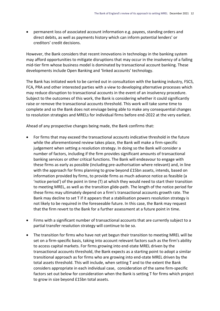permanent loss of associated account information e.g. payees, standing orders and direct debits, as well as payments history which can inform potential lenders' or creditors' credit decisions.

However, the Bank considers that recent innovations in technology in the banking system may afford opportunities to mitigate disruptions that may occur in the insolvency of a failing mid-tier firm whose business model is dominated by transactional account banking. These developments include Open Banking and 'linked accounts' technology.

The Bank has initiated work to be carried out in consultation with the banking industry, FSCS, FCA, PRA and other interested parties with a view to developing alternative processes which may reduce disruption to transactional accounts in the event of an insolvency procedure. Subject to the outcomes of this work, the Bank is considering whether it could significantly raise or remove the transactional accounts threshold. This work will take some time to complete and so the Bank does not envisage being able to make any consequential changes to resolution strategies and MRELs for individual firms before end-2022 at the very earliest.

Ahead of any prospective changes being made, the Bank confirms that:

- For firms that may exceed the transactional accounts indicative threshold in the future while the aforementioned review takes place, the Bank will make a firm-specific judgement when setting a resolution strategy. In doing so the Bank will consider a number of factors, including if the firm provides significant amounts of transactional banking services or other critical functions. The Bank will endeavour to engage with these firms as early as possible (including pre-authorisation where relevant) and, in line with the approach for firms planning to grow beyond £15bn assets, intends, based on information provided by firms, to provide firms as much advance notice as feasible (a 'notice period') of the point in time (T) at which they would need to start their transition to meeting MREL, as well as the transition glide-path. The length of the notice period for these firms may ultimately depend on a firm's transactional accounts growth rate. The Bank may decline to set T if it appears that a stabilisation powers resolution strategy is not likely to be required in the foreseeable future. In this case, the Bank may request that the firm revert to the Bank for a further assessment at a future point in time.
- Firms with a significant number of transactional accounts that are currently subject to a partial transfer resolution strategy will continue to be so.
- The transition for firms who have not yet begun their transition to meeting MREL will be set on a firm-specific basis, taking into account relevant factors such as the firm's ability to access capital markets. For firms growing into end-state MREL driven by the transactional accounts threshold, the Bank expects as a starting point to adopt a similar transitional approach as for firms who are growing into end-state MREL driven by the total assets threshold. This will include, when setting T and to the extent the Bank considers appropriate in each individual case, consideration of the same firm-specific factors set out below for consideration when the Bank is setting T for firms which project to grow in size beyond £15bn total assets.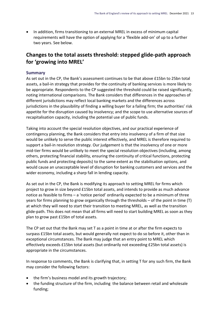In addition, firms transitioning to an external MREL in excess of minimum capital requirements will have the option of applying for a 'flexible add-on' of up to a further two years. See below.

## <span id="page-15-0"></span>**Changes to the total assets threshold: stepped glide-path approach for 'growing into MREL'**

#### **Summary**

As set out in the CP, the Bank's assessment continues to be that above £15bn to 25bn total assets, a bail-in strategy that provides for the continuity of banking services is more likely to be appropriate. Respondents to the CP suggested the threshold could be raised significantly, noting international comparisons. The Bank considers that differences in the approaches of different jurisdictions may reflect local banking markets and the differences across jurisdictions in the plausibility of finding a willing buyer for a failing firm; the authorities' risk appetite for the disruption caused by insolvency; and the scope to use alternative sources of recapitalisation capacity, including the potential use of public funds.

Taking into account the special resolution objectives, and our practical experience of contingency planning, the Bank considers that entry into insolvency of a firm of that size would be unlikely to serve the public interest effectively, and MREL is therefore required to support a bail-in resolution strategy. Our judgement is that the insolvency of one or more mid-tier firms would be unlikely to meet the special resolution objectives (including, among others, protecting financial stability, ensuring the continuity of critical functions, protecting public funds and protecting deposits) to the same extent as the stabilisation options, and would cause an unacceptable level of disruption for banking customers and services and the wider economy, including a sharp fall in lending capacity.

As set out in the CP, the Bank is modifying its approach to setting MREL for firms which project to grow in size beyond £15bn total assets, and intends to provide as much advance notice as feasible to firms – a 'notice period' ordinarily expected to be a minimum of three years for firms planning to grow organically through the thresholds – of the point in time (T) at which they will need to start their transition to meeting MREL, as well as the transition glide-path. This does not mean that all firms will need to start building MREL as soon as they plan to grow past £15bn of total assets.

The CP set out that the Bank may set T as a point in time at or after the firm expects to surpass £15bn total assets, but would generally not expect to do so before it, other than in exceptional circumstances. The Bank may judge that an entry point to MREL which effectively exceeds £15bn total assets (but ordinarily not exceeding £25bn total assets) is appropriate in the circumstances.

In response to comments, the Bank is clarifying that, in setting T for any such firm, the Bank may consider the following factors:

- the firm's business model and its growth trajectory;
- the funding structure of the firm, including the balance between retail and wholesale funding;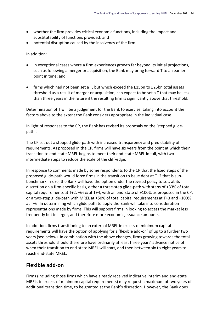- whether the firm provides critical economic functions, including the impact and substitutability of functions provided; and
- potential disruption caused by the insolvency of the firm.

In addition:

- in exceptional cases where a firm experiences growth far beyond its initial projections, such as following a merger or acquisition, the Bank may bring forward T to an earlier point in time; and
- firms which had not been set a T, but which exceed the £15bn to £25bn total assets threshold as a result of merger or acquisition, can expect to be set a T that may be less than three years in the future if the resulting firm is significantly above that threshold.

Determination of T will be a judgement for the Bank to exercise, taking into account the factors above to the extent the Bank considers appropriate in the individual case.

In light of responses to the CP, the Bank has revised its proposals on the 'stepped glidepath'.

The CP set out a stepped glide-path with increased transparency and predictability of requirements. As proposed in the CP, firms will have six years from the point at which their transition to end-state MREL begins to meet their end-state MREL in full, with two intermediate steps to reduce the scale of the cliff-edge.

In response to comments made by some respondents to the CP that the fixed steps of the proposed glide-path would force firms in the transition to issue debt at T+2 that is subbenchmark in size, the Bank will have the option under the revised policy to set, at its discretion on a firm-specific basis, either a three-step glide-path with steps of +33% of total capital requirements at T+2, +66% at T+4, with an end-state of +100% as proposed in the CP, or a two-step glide-path with MREL at +50% of total capital requirements at T+3 and +100% at T+6. In determining which glide path to apply the Bank will take into consideration representations made by firms. This will support firms in looking to access the market less frequently but in larger, and therefore more economic, issuance amounts.

In addition, firms transitioning to an external MREL in excess of minimum capital requirements will have the option of applying for a 'flexible add-on' of up to a further two years (see below). In combination with the above changes, firms growing towards the total assets threshold should therefore have ordinarily at least three years' advance notice of when their transition to end-state MREL will start, and then between six to eight years to reach end-state MREL.

## <span id="page-16-0"></span>**Flexible add-on**

Firms (including those firms which have already received indicative interim and end-state MRELs in excess of minimum capital requirements) may request a maximum of two years of additional transition time, to be granted at the Bank's discretion. However, the Bank does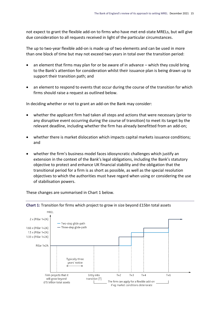not expect to grant the flexible add-on to firms who have met end-state MRELs, but will give due consideration to all requests received in light of the particular circumstances.

The up to two-year flexible add-on is made up of two elements and can be used in more than one block of time but may not exceed two years in total over the transition period:

- an element that firms may plan for or be aware of in advance which they could bring to the Bank's attention for consideration whilst their issuance plan is being drawn up to support their transition path; and
- an element to respond to events that occur during the course of the transition for which firms should raise a request as outlined below.

In deciding whether or not to grant an add-on the Bank may consider:

- whether the applicant firm had taken all steps and actions that were necessary (prior to any disruptive event occurring during the course of transition) to meet its target by the relevant deadline, including whether the firm has already benefitted from an add-on;
- whether there is market dislocation which impacts capital markets issuance conditions; and
- whether the firm's business model faces idiosyncratic challenges which justify an extension in the context of the Bank's legal obligations, including the Bank's statutory objective to protect and enhance UK financial stability and the obligation that the transitional period for a firm is as short as possible, as well as the special resolution objectives to which the authorities must have regard when using or considering the use of stabilisation powers.



These changes are summarised in Chart 1 below.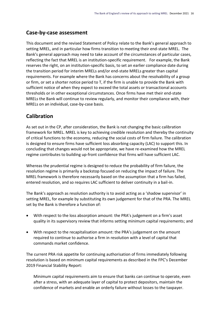## <span id="page-18-0"></span>**Case-by-case assessment**

This document and the revised Statement of Policy relate to the Bank's general approach to setting MREL, and in particular how firms transition to meeting their end-state MREL. The Bank's general approach may need to take account of the circumstances of particular cases, reflecting the fact that MREL is an institution-specific requirement. For example, the Bank reserves the right, on an institution-specific basis, to set an earlier compliance date during the transition period for interim MRELs and/or end-state MRELs greater than capital requirements. For example where the Bank has concerns about the resolvability of a group or firm, or set a shorter notice period to T, if the firm is unable to provide the Bank with sufficient notice of when they expect to exceed the total assets or transactional accounts thresholds or in other exceptional circumstances. Once firms have met their end-state MRELs the Bank will continue to review regularly, and monitor their compliance with, their MRELs on an individual, case-by-case basis.

## <span id="page-18-1"></span>**Calibration**

As set out in the CP, after consideration, the Bank is not changing the basic calibration framework for MREL. MREL is key to achieving credible resolution and thereby the continuity of critical functions to the economy, reducing the social costs of firm failure. The calibration is designed to ensure firms have sufficient loss absorbing capacity (LAC) to support this. In concluding that changes would not be appropriate, we have re-examined how the MREL regime contributes to building up-front confidence that firms will have sufficient LAC.

Whereas the prudential regime is designed to reduce the probability of firm failure, the resolution regime is primarily a backstop focused on reducing the impact of failure. The MREL framework is therefore necessarily based on the assumption that a firm has failed, entered resolution, and so requires LAC sufficient to deliver continuity in a bail-in.

The Bank's approach as resolution authority is to avoid acting as a 'shadow supervisor' in setting MREL, for example by substituting its own judgement for that of the PRA. The MREL set by the Bank is therefore a function of:

- With respect to the loss absorption amount: the PRA's judgement on a firm's asset quality in its supervisory review that informs setting minimum capital requirements; and
- With respect to the recapitalisation amount: the PRA's judgement on the amount required to continue to authorise a firm in resolution with a level of capital that commands market confidence.

The current PRA risk appetite for continuing authorisation of firms immediately following resolution is based on minimum capital requirements as described in the FPC's December 2019 Financial Stability Report:

Minimum capital requirements aim to ensure that banks can continue to operate, even after a stress, with an adequate layer of capital to protect depositors, maintain the confidence of markets and enable an orderly failure without losses to the taxpayer.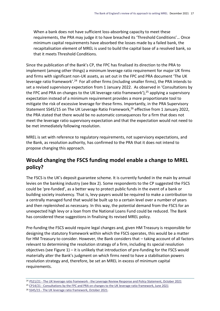When a bank does not have sufficient loss-absorbing capacity to meet these requirements, the PRA may judge it to have breached its 'Threshold Conditions'… Once minimum capital requirements have absorbed the losses made by a failed bank, the recapitalisation element of MREL is used to build the capital base of a resolved bank, so that it meets Threshold Conditions.

Since the publication of the Bank's CP, the FPC has finalised its direction to the PRA to implement (among other things) a minimum leverage ratio requirement for major UK firms and firms with significant non-UK assets, as set out in the FPC and PRA document 'The UK leverage ratio framework'.<sup>24</sup> For all other firms (including smaller firms), the PRA intends to set a revised supervisory expectation from 1 January 2022. As observed in 'Consultations by the FPC and PRA on changes to the UK leverage ratio framework'),<sup>25</sup> applying a supervisory expectation instead of a minimum requirement provides a more proportionate tool to mitigate the risk of excessive leverage for these firms. Importantly, in the PRA Supervisory Statement SS45/15 on The UK Leverage Ratio Framework,<sup>26</sup> effective from 1 January 2022, the PRA stated that there would be no automatic consequences for a firm that does not meet the leverage ratio supervisory expectation and that the expectation would not need to be met immediately following resolution.

MREL is set with reference to regulatory requirements, not supervisory expectations, and the Bank, as resolution authority, has confirmed to the PRA that it does not intend to propose changing this approach.

## <span id="page-19-0"></span>**Would changing the FSCS funding model enable a change to MREL policy?**

The FSCS is the UK's deposit guarantee scheme. It is currently funded in the main by annual levies on the banking industry (see Box 2). Some respondents to the CP suggested the FSCS could be 'pre-funded', as a better way to protect public funds in the event of a bank or building society insolvency. That is, levy-payers would be required to make a contribution to a centrally managed fund that would be built up to a certain level over a number of years and then replenished as necessary. In this way, the potential demand from the FSCS for an unexpected high levy or a loan from the National Loans Fund could be reduced. The Bank has considered these suggestions in finalising its revised MREL policy.

Pre-funding the FSCS would require legal changes and, given HM Treasury is responsible for designing the statutory framework within which the FSCS operates, this would be a matter for HM Treasury to consider. However, the Bank considers that – taking account of all factors relevant to determining the resolution strategy of a firm, including its special resolution objectives (see Figure 1) – it is unlikely that introduction of pre-funding for the FSCS would materially alter the Bank's judgment on which firms need to have a stabilisation powers resolution strategy and, therefore, be set an MREL in excess of minimum capital requirements.

<sup>24</sup> PS21/21 - The UK leverage ratio framework - [the Leverage Review Response and](https://www.bankofengland.co.uk/-/media/boe/files/prudential-regulation/policy-statement/2021/october/ps2121.pdf?la=en&hash=ADB151C29ECD1417EC6CD0BBFF8A3D2193EF7FB5) Policy Statement, October 2021

<sup>&</sup>lt;sup>25</sup> CP14/21 - Consultations by the FPC and PRA [on changes to the UK leverage ratio framework, June 2021](https://www.bankofengland.co.uk/-/media/boe/files/prudential-regulation/consultation-paper/2021/june/cp1421.pdf?la=en&hash=B878D85FFC2CD5B98870EFF8F26214027C5E3D6C)

<sup>26</sup> SS45/15 - [The UK leverage ratio framework, October 2021.](https://www.bankofengland.co.uk/-/media/boe/files/prudential-regulation/supervisory-statement/2021/ss4515-oct-2021.pdf?la=en&hash=8E35B37C5108C0244AE5DAC2530D0CD9834977E7)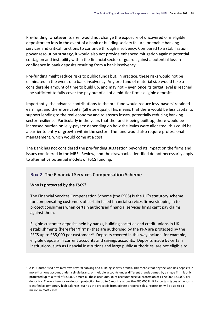Pre-funding, whatever its size, would not change the exposure of uncovered or ineligible depositors to loss in the event of a bank or building society failure, or enable banking services and critical functions to continue through insolvency. Compared to a stabilisation power resolution strategy, it would also not provide enhanced mitigation against potential contagion and instability within the financial sector or guard against a potential loss in confidence in bank deposits resulting from a bank insolvency.

Pre-funding might reduce risks to public funds but, in practice, these risks would not be eliminated in the event of a bank insolvency. Any pre-fund of material size would take a considerable amount of time to build up, and may not – even once its target level is reached – be sufficient to fully cover the pay out of all of a mid-tier firm's eligible deposits.

Importantly, the advance contributions to the pre-fund would reduce levy-payers' retained earnings, and therefore capital (all else equal). This means that there would be less capital to support lending to the real economy and to absorb losses, potentially reducing banking sector resilience. Particularly in the years that the fund is being built up, there would be increased burden on levy-payers: depending on how the levies were allocated, this could be a barrier to entry or growth within the sector. The fund would also require professional management, which would come at a cost.

The Bank has not considered the pre-funding suggestion beyond its impact on the firms and issues considered in the MREL Review, and the drawbacks identified do not necessarily apply to alternative potential models of FSCS funding.

### <span id="page-20-0"></span>**Box 2: The Financial Services Compensation Scheme**

#### **Who is protected by the FSCS?**

The Financial Services Compensation Scheme (the FSCS) is the UK's statutory scheme for compensating customers of certain failed financial services firms; stepping in to protect consumers when certain authorised financial services firms can't pay claims against them.

Eligible customer deposits held by banks, building societies and credit unions in UK establishments (hereafter 'firms') that are authorised by the PRA are protected by the FSCS up to £85,000 per customer.<sup>27</sup> Deposits covered in this way include, for example, eligible deposits in current accounts and savings accounts. Deposits made by certain institutions, such as financial institutions and large public authorities, are not eligible to

<sup>&</sup>lt;sup>27</sup> A PRA-authorised firm may own several banking and building society brands. This means that anyone who has deposits in more than one account under a single brand, or multiple accounts under different brands owned by a single firm, is only protected up to a total of £85,000 across all these accounts. Joint accounts receive protection of £170,000, £85,000 per depositor. There is temporary deposit protection for up to 6 months above the £85,000 limit for certain types of deposits classified as temporary high balances, such as the proceeds from private property sales. Protection will be up to £1 million in most cases.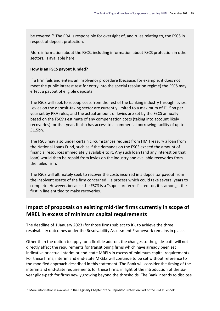be covered.<sup>28</sup> The PRA is responsible for oversight of, and rules relating to, the FSCS in respect of deposit protection.

More information about the FSCS, including information about FSCS protection in other sectors, is available [here.](https://www.fscs.org.uk/what-we-cover/)

#### **How is an FSCS payout funded?**

If a firm fails and enters an insolvency procedure (because, for example, it does not meet the public interest test for entry into the special resolution regime) the FSCS may effect a payout of eligible deposits.

The FSCS will seek to recoup costs from the rest of the banking industry through levies. Levies on the deposit-taking sector are currently limited to a maximum of £1.5bn per year set by PRA rules, and the actual amount of levies are set by the FSCS annually based on the FSCS's estimate of any compensation costs (taking into account likely recoveries) for that year. It also has access to a commercial borrowing facility of up to £1.5bn.

The FSCS may also under certain circumstances request from HM Treasury a loan from the National Loans Fund, such as if the demands on the FSCS exceed the amount of financial resources immediately available to it. Any such loan (and any interest on that loan) would then be repaid from levies on the industry and available recoveries from the failed firm.

The FSCS will ultimately seek to recover the costs incurred in a depositor payout from the insolvent estate of the firm concerned – a process which could take several years to complete. However, because the FSCS is a "super-preferred" creditor, it is amongst the first in line entitled to make recoveries.

## <span id="page-21-0"></span>**Impact of proposals on existing mid-tier firms currently in scope of MREL in excess of minimum capital requirements**

The deadline of 1 January 2023 (for those firms subject to it), to achieve the three resolvability outcomes under the Resolvability Assessment Framework remains in place.

Other than the option to apply for a flexible add-on, the changes to the glide-path will not directly affect the requirements for transitioning firms which have already been set indicative or actual interim or end-state MRELs in excess of minimum capital requirements. For these firms, interim and end-state MRELs will continue to be set without reference to the modified approach described in this statement. The Bank will consider the timing of the interim and end-state requirements for these firms, in light of the introduction of the sixyear glide-path for firms newly growing beyond the thresholds. The Bank intends to disclose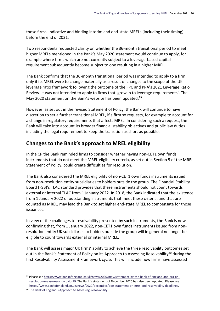those firms' indicative and binding interim and end-state MRELs (including their timing) before the end of 2021.

Two respondents requested clarity on whether the 36-month transitional period to meet higher MRELs mentioned in the Bank's May 2020 statement would continue to apply, for example where firms which are not currently subject to a leverage-based capital requirement subsequently become subject to one resulting in a higher MREL.

The Bank confirms that the 36-month transitional period was intended to apply to a firm only if its MREL were to change materially as a result of changes to the scope of the UK leverage ratio framework following the outcome of the FPC and PRA's 2021 Leverage Ratio Review. It was not intended to apply to firms that 'grow in to leverage requirements'. The May 2020 statement on the Bank's website has been updated.<sup>29</sup>

However, as set out in the revised Statement of Policy, the Bank will continue to have discretion to set a further transitional MREL, if a firm so requests, for example to account for a change in regulatory requirements that affects MREL. In considering such a request, the Bank will take into account its broader financial stability objectives and public law duties including the legal requirement to keep the transition as short as possible.

## <span id="page-22-0"></span>**Changes to the Bank's approach to MREL eligibility**

In the CP the Bank reminded firms to consider whether having non-CET1 own funds instruments that do not meet the MREL eligibility criteria, as set out in Section 5 of the MREL Statement of Policy, could create difficulties for resolution.

The Bank also considered the MREL eligibility of non-CET1 own funds instruments issued from non-resolution entity subsidiaries to holders outside the group. The Financial Stability Board (FSB)'s TLAC standard provides that these instruments should not count towards external or internal TLAC from 1 January 2022. In 2018, the Bank indicated that the existence from 1 January 2022 of outstanding instruments that meet these criteria, and that are counted as MREL, may lead the Bank to set higher end-state MREL to compensate for those issuances.

In view of the challenges to resolvability presented by such instruments, the Bank is now confirming that, from 1 January 2022, non-CET1 own funds instruments issued from nonresolution entity UK subsidiaries to holders outside the group will in general no longer be eligible to count towards external or internal MREL.

The Bank will assess major UK firms' ability to achieve the three resolvability outcomes set out in the Bank's Statement of Policy on its Approach to Assessing Resolvability<sup>30</sup> during the first Resolvability Assessment Framework cycle. This will include how firms have assessed

<sup>29</sup> Please see [https://www.bankofengland.co.uk/news/2020/may/statement-by-the-bank-of-england-and-pra-on](https://www.bankofengland.co.uk/news/2020/may/statement-by-the-bank-of-england-and-pra-on-resolution-measures-and-covid-19)[resolution-measures-and-covid-19](https://www.bankofengland.co.uk/news/2020/may/statement-by-the-bank-of-england-and-pra-on-resolution-measures-and-covid-19). The Bank's statement of December 2020 has also been updated. Please see [https://www.bankofengland.co.uk/news/2020/december/boe-statement-on-mrel-and-resolvability-deadlines.](https://www.bankofengland.co.uk/news/2020/december/boe-statement-on-mrel-and-resolvability-deadlines) <sup>30</sup> [The Bank of England's Approach to Assessing Resolvability](https://www.bankofengland.co.uk/paper/2019/the-boes-approach-to-assessing-resolvability)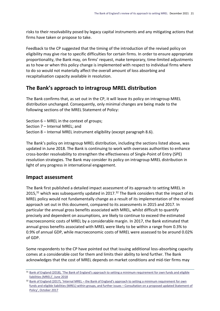risks to their resolvability posed by legacy capital instruments and any mitigating actions that firms have taken or propose to take.

Feedback to the CP suggested that the timing of the introduction of the revised policy on eligibility may give rise to specific difficulties for certain firms. In order to ensure appropriate proportionality, the Bank may, on firms' request, make temporary, time-limited adjustments as to how or when this policy change is implemented with respect to individual firms where to do so would not materially affect the overall amount of loss absorbing and recapitalisation capacity available in resolution.

## <span id="page-23-0"></span>**The Bank's approach to intragroup MREL distribution**

The Bank confirms that, as set out in the CP, it will leave its policy on intragroup MREL distribution unchanged. Consequently, only minimal changes are being made to the following sections of the MREL Statement of Policy:

Section 6 – MREL in the context of groups;

Section 7 – Internal MREL; and

Section 8 – Internal MREL instrument eligibility (except paragraph 8.6).

The Bank's policy on intragroup MREL distribution, including the sections listed above, was updated in June 2018. The Bank is continuing to work with overseas authorities to enhance cross-border resolvability to strengthen the effectiveness of Single-Point of Entry (SPE) resolution strategies. The Bank may consider its policy on intragroup MREL distribution in light of any progress in international engagement.

#### <span id="page-23-1"></span>**Impact assessment**

The Bank first published a detailed impact assessment of its approach to setting MREL in 2015,<sup>31</sup> which was subsequently updated in 2017.<sup>32</sup> The Bank considers that the impact of its MREL policy would not fundamentally change as a result of its implementation of the revised approach set out in this document, compared to its assessments in 2015 and 2017. In particular the annual gross benefits associated with MREL, whilst difficult to quantify precisely and dependent on assumptions, are likely to continue to exceed the estimated macroeconomic costs of MREL by a considerable margin. In 2017, the Bank estimated that annual gross benefits associated with MREL were likely to be within a range from 0.3% to 0.9% of annual GDP, while macroeconomic costs of MREL were assessed to be around 0.02% of GDP.

Some respondents to the CP have pointed out that issuing additional loss-absorbing capacity comes at a considerable cost for them and limits their ability to lend further. The Bank acknowledges that the cost of MREL depends on market conditions and mid-tier firms may

<sup>31</sup> [Bank of England \(2018\), 'The Bank of England's approach to setting a m](https://www.bankofengland.co.uk/-/media/boe/files/paper/2018/statement-of-policy-boes-approach-to-setting-mrel-2018.pdf?la=en&hash=BC4499AF9CF063A3D8024BE5C050CB1F39E2EBC1)inimum requirement for own funds and eligible [liabilities \(MREL\)', June 2018](https://www.bankofengland.co.uk/-/media/boe/files/paper/2018/statement-of-policy-boes-approach-to-setting-mrel-2018.pdf?la=en&hash=BC4499AF9CF063A3D8024BE5C050CB1F39E2EBC1)

<sup>32</sup> Bank of England (2017), 'Internal MREL – the Bank of England's approach to setting a minimum requirement for own [funds and eligible liabilities \(MREL\) within groups, and further issues](https://www.bankofengland.co.uk/-/media/boe/files/financial-stability/resolution/internal-mrel-consultation-october-2017.pdf) – Consultation on a proposed updated Statement of [Policy', October 2017](https://www.bankofengland.co.uk/-/media/boe/files/financial-stability/resolution/internal-mrel-consultation-october-2017.pdf)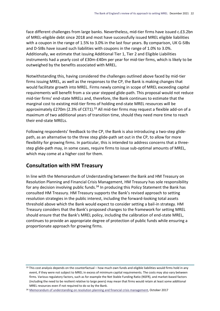face different challenges from large banks. Nevertheless, mid-tier firms have issued c.£3.2bn of MREL-eligible debt since 2018 and most have successfully issued MREL eligible liabilities with a coupon in the range of 1.5% to 3.0% in the last four years. By comparison, UK G-SIBs and D-SIBs have issued such liabilities with coupons in the range of 1.0% to 3.0%. Additionally, we estimate that issuing Additional Tier 1, Tier 2 and Eligible Liabilities instruments had a yearly cost of £30m-£40m per year for mid-tier firms, which is likely to be outweighed by the benefits associated with MREL.

Notwithstanding this, having considered the challenges outlined above faced by mid-tier firms issuing MREL, as well as the responses to the CP, the Bank is making changes that would facilitate growth into MREL. Firms newly coming in scope of MREL exceeding capital requirements will benefit from a six-year stepped glide-path. This proposal would not reduce mid-tier firms' end-state MRELs and, therefore, the Bank continues to estimate that the marginal cost to existing mid-tier firms of holding end-state MREL resources will be approximately £270m (2.3% of CET1).<sup>33</sup> All mid-tier firms may request a flexible add-on of a maximum of two additional years of transition time, should they need more time to reach their end-state MRELs.

Following respondents' feedback to the CP, the Bank is also introducing a two-step glidepath, as an alternative to the three step glide-path set out in the CP, to allow for more flexibility for growing firms. In particular, this is intended to address concerns that a threestep glide-path may, in some cases, require firms to issue sub-optimal amounts of MREL, which may come at a higher cost for them.

## <span id="page-24-0"></span>**Consultation with HM Treasury**

In line with the Memorandum of Understanding between the Bank and HM Treasury on Resolution Planning and Financial Crisis Management, HM Treasury has sole responsibility for any decision involving public funds.<sup>34</sup> In producing this Policy Statement the Bank has consulted HM Treasury. HM Treasury supports the Bank's revised approach to setting resolution strategies in the public interest, including the forward-looking total assets threshold above which the Bank would expect to consider setting a bail-in strategy. HM Treasury considers that the Bank's proposed changes to the framework for setting MREL should ensure that the Bank's MREL policy, including the calibration of end-state MREL, continues to provide an appropriate degree of protection of public funds while ensuring a proportionate approach for growing firms.

<sup>33</sup> This cost analysis depends on the counterfactual – how much own funds and eligible liabilities would firms hold in any event, if they were not subject to MREL in excess of minimum capital requirements. The costs may also vary between firms. Various regulatory factors, such as for example the Net Stable Funding Ratio (NSFR), and market-based factors (including the need to be resilient relative to large peers) may mean that firms would retain at least some additional MREL resources even if not required to do so by the Bank.

<sup>&</sup>lt;sup>34</sup> [Memorandum of understanding on resolution planning and financial crisis management,](https://www.bankofengland.co.uk/-/media/boe/files/memoranda-of-understanding/resolution-planning-and-financial-crisis-management.pdf) October 2017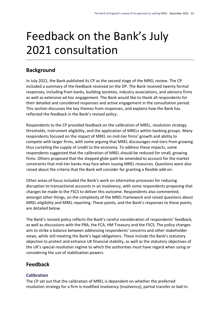# <span id="page-25-0"></span>Feedback on the Bank's July 2021 consultation

## <span id="page-25-1"></span>**Background**

In July 2021, the Bank published its CP as the second stage of the MREL review. The CP included a summary of the feedback received on the DP. The Bank received twenty formal responses, including from banks, building societies, industry associations, and advisory firms as well as extensive ad hoc engagement. The Bank would like to thank all respondents for their detailed and considered responses and active engagement in the consultation period. This section discusses the key themes from responses, and explains how the Bank has reflected the feedback in the Bank's revised policy.

Respondents to the CP provided feedback on the calibration of MREL, resolution strategy thresholds, instrument eligibility, and the application of MRELs within banking groups. Many respondents focused on the impact of MREL on mid-tier firms' growth and ability to compete with larger firms, with some arguing that MREL discourages mid-tiers from growing thus curtailing the supply of credit to the economy. To address these impacts, some respondents suggested that the calibration of MREL should be reduced for small, growing firms. Others proposed that the stepped glide-path be amended to account for the market constraints that mid-tier banks may face when issuing MREL resources. Questions were also raised about the criteria that the Bank will consider for granting a flexible add-on.

Other areas of focus included the Bank's work on alternative processes for reducing disruption to transactional accounts in an insolvency, with some respondents proposing that changes be made to the FSCS to deliver this outcome. Respondents also commented, amongst other things, on the complexity of the MREL framework and raised questions about MREL eligibility and MREL reporting. These points, and the Bank's responses to these points, are detailed below.

The Bank's revised policy reflects the Bank's careful consideration of respondents' feedback, as well as discussions with the PRA, the FCA, HM Treasury and the FSCS. The policy changes aim to strike a balance between addressing respondents' concerns and other stakeholder views, while still meeting the Bank's legal obligations. These include the Bank's statutory objective to protect and enhance UK financial stability, as well as the statutory objectives of the UK's special resolution regime to which the authorities must have regard when using or considering the use of stabilisation powers.

## <span id="page-25-2"></span>**Feedback**

#### **Calibration**

The CP set out that the calibration of MREL is dependent on whether the preferred resolution strategy for a firm is modified insolvency (insolvency), partial transfer or bail-in.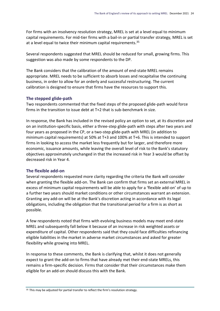For firms with an insolvency resolution strategy, MREL is set at a level equal to minimum capital requirements. For mid-tier firms with a bail-in or partial transfer strategy, MREL is set at a level equal to twice their minimum capital requirements.<sup>35</sup>

Several respondents suggested that MREL should be reduced for small, growing firms. This suggestion was also made by some respondents to the DP.

The Bank considers that the calibration of the amount of end-state MREL remains appropriate. MREL needs to be sufficient to absorb losses and recapitalise the continuing business, in order to allow for an orderly and successful restructuring. The current calibration is designed to ensure that firms have the resources to support this.

#### **The stepped glide-path**

Two respondents commented that the fixed steps of the proposed glide-path would force firms in the transition to issue debt at T+2 that is sub-benchmark in size.

In response, the Bank has included in the revised policy an option to set, at its discretion and on an institution-specific basis, either a three-step glide-path with steps after two years and four years as proposed in the CP, or a two-step glide-path with MREL (in addition to minimum capital requirements) at 50% at T+3 and 100% at T+6. This is intended to support firms in looking to access the market less frequently but for larger, and therefore more economic, issuance amounts, while leaving the overall level of risk to the Bank's statutory objectives approximately unchanged in that the increased risk in Year 3 would be offset by decreased risk in Year 4.

#### **The flexible add-on**

Several respondents requested more clarity regarding the criteria the Bank will consider when granting the flexible add-on. The Bank can confirm that firms set an external MREL in excess of minimum capital requirements will be able to apply for a 'flexible add-on' of up to a further two years should market conditions or other circumstances warrant an extension. Granting any add-on will be at the Bank's discretion acting in accordance with its legal obligations, including the obligation that the transitional period for a firm is as short as possible.

A few respondents noted that firms with evolving business models may meet end-state MREL and subsequently fall below it because of an increase in risk weighted assets or expenditure of capital. Other respondents said that they could face difficulties refinancing eligible liabilities in the market in adverse market circumstances and asked for greater flexibility while growing into MREL.

In response to these comments, the Bank is clarifying that, whilst it does not generally expect to grant the add-on to firms that have already met their end-state MRELs, this remains a firm-specific decision. Firms that consider that their circumstances make them eligible for an add-on should discuss this with the Bank.

<sup>&</sup>lt;sup>35</sup> This may be adjusted for partial transfer to reflect the firm's resolution strategy.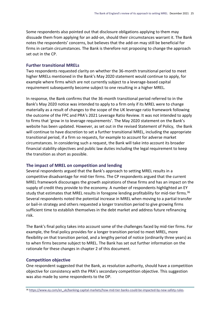Some respondents also pointed out that disclosure obligations applying to them may dissuade them from applying for an add-on, should their circumstances warrant it. The Bank notes the respondents' concerns, but believes that the add-on may still be beneficial for firms in certain circumstances. The Bank is therefore not proposing to change the approach set out in the CP.

#### **Further transitional MRELs**

Two respondents requested clarity on whether the 36-month transitional period to meet higher MRELs mentioned in the Bank's May 2020 statement would continue to apply, for example where firms which are not currently subject to a leverage-based capital requirement subsequently become subject to one resulting in a higher MREL.

In response, the Bank confirms that the 36-month transitional period referred to in the Bank's May 2020 notice was intended to apply to a firm only if its MREL were to change materially as a result of changes to the scope of the UK leverage ratio framework following the outcome of the FPC and PRA's 2021 Leverage Ratio Review. It was not intended to apply to firms that 'grow in to leverage requirements'. The May 2020 statement on the Bank's website has been updated. However, as set out in the revised Statement of Policy, the Bank will continue to have discretion to set a further transitional MREL, including the appropriate transitional period, if a firm so requests, for example to account for adverse market circumstances. In considering such a request, the Bank will take into account its broader financial stability objectives and public law duties including the legal requirement to keep the transition as short as possible.

#### **The impact of MREL on competition and lending**

Several respondents argued that the Bank's approach to setting MREL results in a competitive disadvantage for mid-tier firms. The CP respondents argued that the current MREL framework discourages the growth aspirations of these firms and has an impact on the supply of credit they provide to the economy. A number of respondents highlighted an EY study that estimates that MREL results in foregone lending profitability for mid-tier firms.<sup>36</sup> Several respondents noted the potential increase in MREL when moving to a partial transfer or bail-in strategy and others requested a longer transition period to give growing firms sufficient time to establish themselves in the debt market and address future refinancing risk.

The Bank's final policy takes into account some of the challenges faced by mid-tier firms. For example, the final policy provides for a longer transition period to meet MREL, more flexibility on that transition period, and a lengthy period of notice (ordinarily three years) as to when firms become subject to MREL. The Bank has set out further information on the rationale for these changes in chapter 2 of this document.

#### **Competition objective**

One respondent suggested that the Bank, as resolution authority, should have a competition objective for consistency with the PRA's secondary competition objective. This suggestion was also made by some respondents to the DP.

<sup>36</sup> https://www.ey.com/en\_uk/banking-capital-markets/how-mid-tier-banks-could-be-impacted-by-new-safety-rules.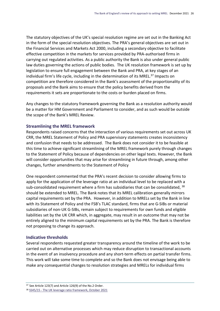The statutory objectives of the UK's special resolution regime are set out in the Banking Act in the form of the special resolution objectives. The PRA's general objectives are set out in the Financial Services and Markets Act 2000, including a secondary objective to facilitate effective competition in the markets for services provided by PRA-authorised firms in carrying out regulated activities. As a public authority the Bank is also under general public law duties governing the actions of public bodies. The UK resolution framework is set up by legislation to ensure full engagement between the Bank and PRA, at key stages of an individual firm's life cycle, including in the determination of its MREL.<sup>37</sup> Impacts on competition are therefore considered in the Bank's assessment of the proportionality of its proposals and the Bank aims to ensure that the policy benefits derived from the requirements it sets are proportionate to the costs or burden placed on firms.

Any changes to the statutory framework governing the Bank as a resolution authority would be a matter for HM Government and Parliament to consider, and as such would be outside the scope of the Bank's MREL Review.

#### **Streamlining the MREL framework**

Respondents raised concerns that the interaction of various requirements set out across UK CRR, the MREL Statement of Policy and PRA supervisory statements creates inconsistency and confusion that needs to be addressed. The Bank does not consider it to be feasible at this time to achieve significant streamlining of the MREL framework purely through changes to the Statement of Policy because of dependencies on other legal texts. However, the Bank will consider opportunities that may arise for streamlining in future through, among other changes, further amendments to the Statement of Policy

One respondent commented that the PRA's recent decision to consider allowing firms to apply for the application of the leverage ratio at an individual level to be replaced with a sub-consolidated requirement where a firm has subsidiaries that can be consolidated, <sup>38</sup> should be extended to MREL. The Bank notes that its MREL calibration generally mirrors capital requirements set by the PRA. However, in addition to MRELs set by the Bank in line with its Statement of Policy and the FSB's TLAC standard, firms that are G-SIBs or material subsidiaries of non-UK G-SIBs, remain subject to requirements for own funds and eligible liabilities set by the UK CRR which, in aggregate, may result in an outcome that may not be entirely aligned to the minimum capital requirements set by the PRA. The Bank is therefore not proposing to change its approach.

#### **Indicative thresholds**

Several respondents requested greater transparency around the timeline of the work to be carried out on alternative processes which may reduce disruption to transactional accounts in the event of an insolvency procedure and any short-term effects on partial transfer firms. This work will take some time to complete and so the Bank does not envisage being able to make any consequential changes to resolution strategies and MRELs for individual firms

<sup>37</sup> See Article 123(7) and Article 126(9) of the No.2 Order.

<sup>38</sup> SS45/15 - [The UK leverage ratio framework, October 2021](https://www.bankofengland.co.uk/-/media/boe/files/prudential-regulation/supervisory-statement/2021/ss4515-oct-2021.pdf)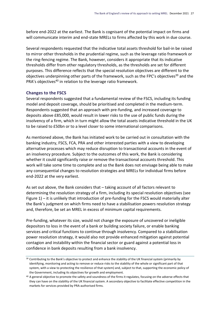before end-2022 at the earliest. The Bank is cognisant of the potential impact on firms and will communicate interim and end-state MRELs to firms affected by this work in due course.

Several respondents requested that the indicative total assets threshold for bail-in be raised to mirror other thresholds in the prudential regime, such as the leverage ratio framework or the ring-fencing regime. The Bank, however, considers it appropriate that its indicative thresholds differ from other regulatory thresholds, as the thresholds are set for different purposes. This difference reflects that the special resolution objectives are different to the objectives underpinning other parts of the framework, such as the FPC's objectives<sup>39</sup> and the PRA's objectives<sup>40</sup> in relation to the leverage ratio framework.

#### **Changes to the FSCS**

Several respondents suggested that a fundamental review of the FSCS, including its funding model and deposit coverage, should be prioritised and completed in the medium-term. Respondents suggested that an approach with pre-funding, and increased coverage to deposits above £85,000, would result in lower risks to the use of public funds during the insolvency of a firm, which in turn might allow the total assets indicative threshold in the UK to be raised to £50bn or to a level closer to some international comparisons.

As mentioned above, the Bank has initiated work to be carried out in consultation with the banking industry, FSCS, FCA, PRA and other interested parties with a view to developing alternative processes which may reduce disruption to transactional accounts in the event of an insolvency procedure. Subject to the outcomes of this work, the Bank is considering whether it could significantly raise or remove the transactional accounts threshold. This work will take some time to complete and so the Bank does not envisage being able to make any consequential changes to resolution strategies and MRELs for individual firms before end-2022 at the very earliest.

As set out above, the Bank considers that – taking account of all factors relevant to determining the resolution strategy of a firm, including its special resolution objectives (see Figure 1) – it is unlikely that introduction of pre-funding for the FSCS would materially alter the Bank's judgment on which firms need to have a stabilisation powers resolution strategy and, therefore, be set an MREL in excess of minimum capital requirements.

Pre-funding, whatever its size, would not change the exposure of uncovered or ineligible depositors to loss in the event of a bank or building society failure, or enable banking services and critical functions to continue through insolvency. Compared to a stabilisation power resolution strategy, it would also not provide enhanced mitigation against potential contagion and instability within the financial sector or guard against a potential loss in confidence in bank deposits resulting from a bank insolvency.

<sup>&</sup>lt;sup>39</sup> Contributing to the Bank's objective to protect and enhance the stability of the UK financial system (primarily by identifying, monitoring and acting to remove or reduce risks to the stability of the whole or significant part of that system, with a view to protecting the resilience of that system) and, subject to that, supporting the economic policy of the Government, including its objectives for growth and employment.

<sup>40</sup> A general objective to promote the safety and soundness of the firms it regulates, focusing on the adverse effects that they can have on the stability of the UK financial system. A secondary objective to facilitate effective competition in the markets for services provided by PRA-authorised firms.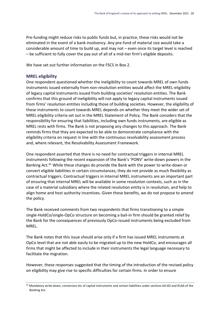Pre-funding might reduce risks to public funds but, in practice, these risks would not be eliminated in the event of a bank insolvency. Any pre-fund of material size would take a considerable amount of time to build up, and may not – even once its target level is reached – be sufficient to fully cover the pay out of all of a mid-tier firm's eligible deposits.

We have set out further information on the FSCS in Box 2.

#### **MREL eligibility**

One respondent questioned whether the ineligibility to count towards MREL of own funds instruments issued externally from non-resolution entities would affect the MREL-eligibility of legacy capital instruments issued from building societies' resolution entities. The Bank confirms that this ground of ineligibility will not apply to legacy capital instruments issued from firms' resolution entities including those of building societies. However, the eligibility of these instruments to count towards MREL depends on whether they meet the wider set of MREL eligibility criteria set out in the MREL Statement of Policy. The Bank considers that the responsibility for ensuring that liabilities, including own funds instruments, are eligible as MREL rests with firms. The Bank is not proposing any changes to this approach. The Bank reminds firms that they are expected to be able to demonstrate compliance with the eligibility criteria on request in line with the continuous resolvability assessment process and, where relevant, the Resolvability Assessment Framework.

One respondent asserted that there is no need for contractual triggers in internal MREL instruments following the recent expansion of the Bank's 'PONV' write-down powers in the Banking Act.<sup>41</sup> While these changes do provide the Bank with the power to write-down or convert eligible liabilities in certain circumstances, they do not provide as much flexibility as contractual triggers. Contractual triggers in internal MREL instruments are an important part of ensuring that internal MREL will be available in some resolution contexts, such as in the case of a material subsidiary where the related resolution entity is in resolution, and help to align home and host authority incentives. Given these benefits, we do not propose to amend the policy.

The Bank received comments from two respondents that firms transitioning to a simple single-HoldCo/single-OpCo structure on becoming a bail-in firm should be granted relief by the Bank for the consequences of previously OpCo-issued instruments being excluded from MREL.

The Bank notes that this issue should arise only if a firm has issued MREL instruments at OpCo level that are not able easily to be migrated up to the new HoldCo, and encourages all firms that might be affected to include in their instruments the legal language necessary to facilitate the migration.

However, these responses suggested that the timing of the introduction of the revised policy on eligibility may give rise to specific difficulties for certain firms. In order to ensure

<sup>41</sup> Mandatory write-down, conversion etc of capital instruments and certain liabilities under sections 6A-6D and 81AA of the Banking Act.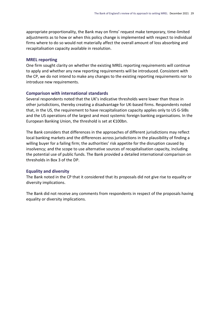appropriate proportionality, the Bank may on firms' request make temporary, time-limited adjustments as to how or when this policy change is implemented with respect to individual firms where to do so would not materially affect the overall amount of loss absorbing and recapitalisation capacity available in resolution.

#### **MREL reporting**

One firm sought clarity on whether the existing MREL reporting requirements will continue to apply and whether any new reporting requirements will be introduced. Consistent with the CP, we do not intend to make any changes to the existing reporting requirements nor to introduce new requirements.

#### **Comparison with international standards**

Several respondents noted that the UK's indicative thresholds were lower than those in other jurisdictions, thereby creating a disadvantage for UK-based firms. Respondents noted that, in the US, the requirement to have recapitalisation capacity applies only to US G-SIBs and the US operations of the largest and most systemic foreign banking organisations. In the European Banking Union, the threshold is set at €100bn.

The Bank considers that differences in the approaches of different jurisdictions may reflect local banking markets and the differences across jurisdictions in the plausibility of finding a willing buyer for a failing firm; the authorities' risk appetite for the disruption caused by insolvency; and the scope to use alternative sources of recapitalisation capacity, including the potential use of public funds. The Bank provided a detailed international comparison on thresholds in Box 3 of the DP.

#### **Equality and diversity**

The Bank noted in the CP that it considered that its proposals did not give rise to equality or diversity implications.

The Bank did not receive any comments from respondents in respect of the proposals having equality or diversity implications.